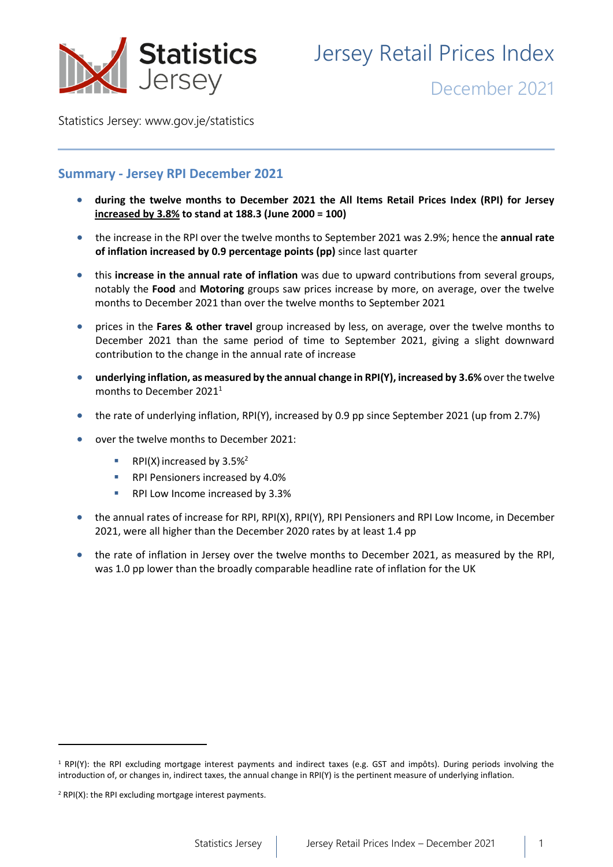

# Jersey Retail Prices Index

December 2021

Statistics Jersey: [www.gov.je/statistics](https://www.gov.je/statistics)

# **Summary - Jersey RPI December 2021**

- **during the twelve months to December 2021 the All Items Retail Prices Index (RPI) for Jersey increased by 3.8% to stand at 188.3 (June 2000 = 100)**
- the increase in the RPI over the twelve months to September 2021 was 2.9%; hence the **annual rate of inflation increased by 0.9 percentage points (pp)** since last quarter
- this **increase in the annual rate of inflation** was due to upward contributions from several groups, notably the **Food** and **Motoring** groups saw prices increase by more, on average, over the twelve months to December 2021 than over the twelve months to September 2021
- prices in the **Fares & other travel** group increased by less, on average, over the twelve months to December 2021 than the same period of time to September 2021, giving a slight downward contribution to the change in the annual rate of increase
- **underlying inflation, as measured by the annual change in RPI(Y), increased by 3.6%** over the twelve months to December 2021 1
- the rate of underlying inflation, RPI(Y), increased by 0.9 pp since September 2021 (up from 2.7%)
- over the twelve months to December 2021:
	- **•** RPI(X) increased by  $3.5\%^2$
	- RPI Pensioners increased by 4.0%
	- RPI Low Income increased by 3.3%
- the annual rates of increase for RPI, RPI(X), RPI(Y), RPI Pensioners and RPI Low Income, in December 2021, were all higher than the December 2020 rates by at least 1.4 pp
- the rate of inflation in Jersey over the twelve months to December 2021, as measured by the RPI, was 1.0 pp lower than the broadly comparable headline rate of inflation for the UK

<sup>1</sup> RPI(Y): the RPI excluding mortgage interest payments and indirect taxes (e.g. GST and impôts). During periods involving the introduction of, or changes in, indirect taxes, the annual change in RPI(Y) is the pertinent measure of underlying inflation.

<sup>2</sup> RPI(X): the RPI excluding mortgage interest payments.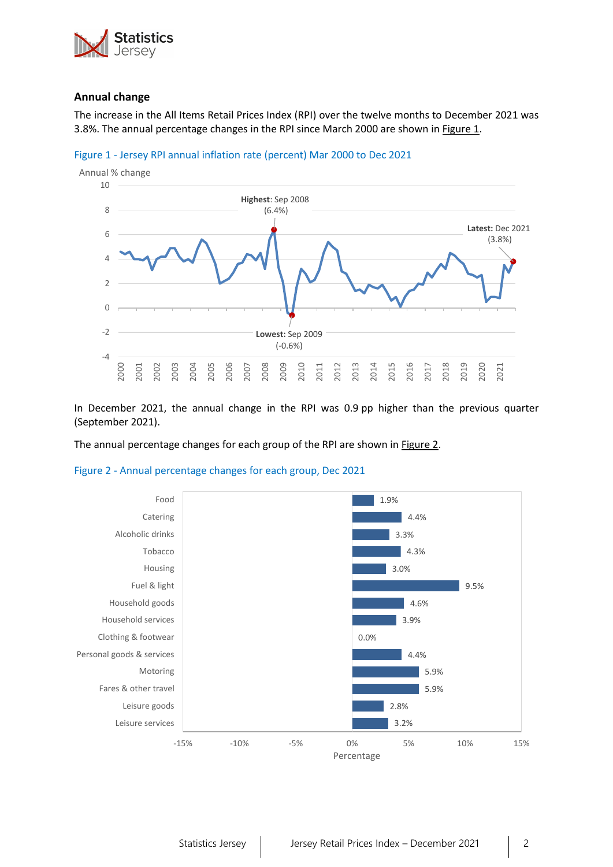

## **Annual change**

The increase in the All Items Retail Prices Index (RPI) over the twelve months to December 2021 was 3.8%. The annual percentage changes in the RPI since March 2000 are shown i[n Figure 1.](#page-1-0)



<span id="page-1-0"></span>

In December 2021, the annual change in the RPI was 0.9 pp higher than the previous quarter (September 2021).

The annual percentage changes for each group of the RPI are shown in **Figure 2.** 

<span id="page-1-1"></span>

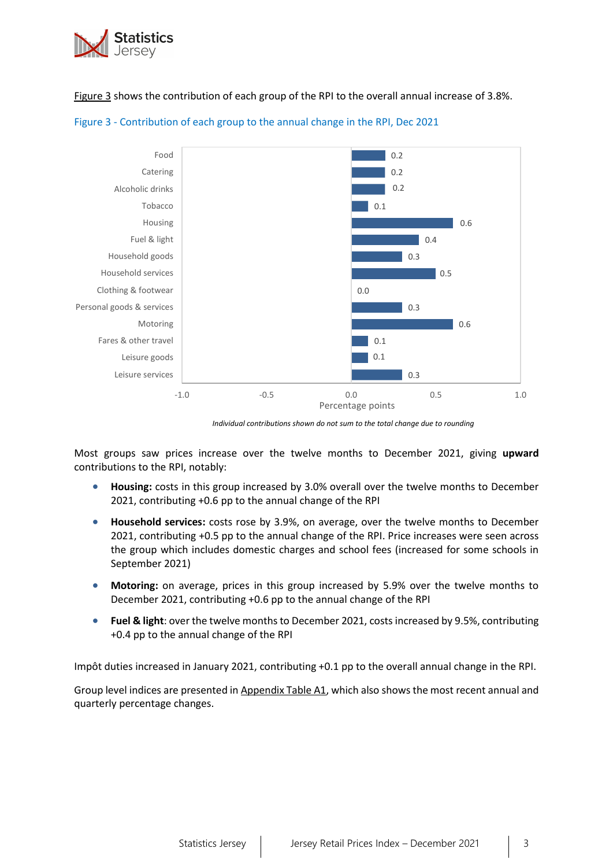

[Figure 3](#page-2-0) shows the contribution of each group of the RPI to the overall annual increase of 3.8%.



## <span id="page-2-0"></span>Figure 3 - Contribution of each group to the annual change in the RPI, Dec 2021

*Individual contributions shown do not sum to the total change due to rounding*

Most groups saw prices increase over the twelve months to December 2021, giving **upward** contributions to the RPI, notably:

- **Housing:** costs in this group increased by 3.0% overall over the twelve months to December 2021, contributing +0.6 pp to the annual change of the RPI
- **Household services:** costs rose by 3.9%, on average, over the twelve months to December 2021, contributing +0.5 pp to the annual change of the RPI. Price increases were seen across the group which includes domestic charges and school fees (increased for some schools in September 2021)
- **Motoring:** on average, prices in this group increased by 5.9% over the twelve months to December 2021, contributing +0.6 pp to the annual change of the RPI
- **Fuel & light**: over the twelve months to December 2021, costs increased by 9.5%, contributing +0.4 pp to the annual change of the RPI

Impôt duties increased in January 2021, contributing +0.1 pp to the overall annual change in the RPI.

Group level indices are presented in [Appendix Table A1,](#page-8-0) which also shows the most recent annual and quarterly percentage changes.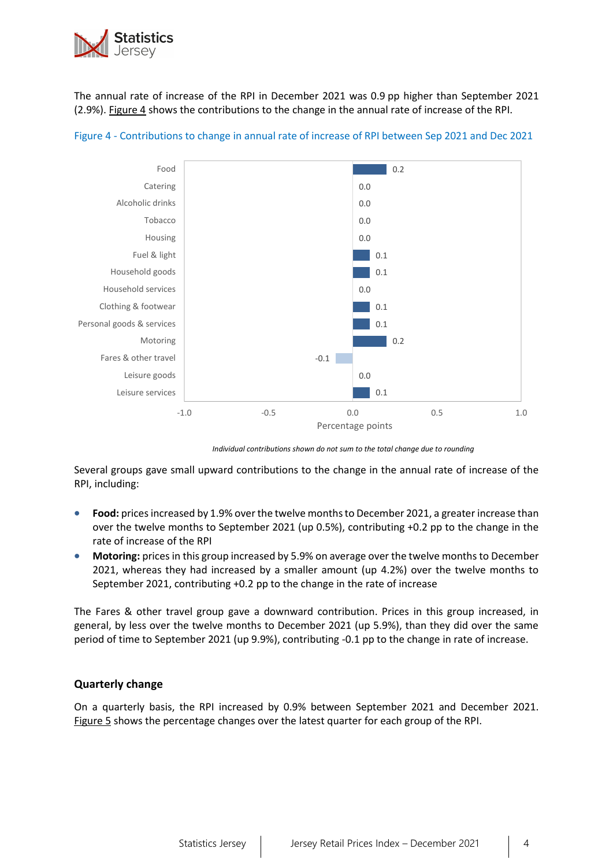

The annual rate of increase of the RPI in December 2021 was 0.9 pp higher than September 2021 (2.9%). [Figure 4](#page-3-0) shows the contributions to the change in the annual rate of increase of the RPI.



<span id="page-3-0"></span>

*Individual contributions shown do not sum to the total change due to rounding*

Several groups gave small upward contributions to the change in the annual rate of increase of the RPI, including:

- **Food:** prices increased by 1.9% over the twelve months to December 2021, a greater increase than over the twelve months to September 2021 (up 0.5%), contributing +0.2 pp to the change in the rate of increase of the RPI
- **Motoring:** prices in this group increased by 5.9% on average over the twelve months to December 2021, whereas they had increased by a smaller amount (up 4.2%) over the twelve months to September 2021, contributing +0.2 pp to the change in the rate of increase

The Fares & other travel group gave a downward contribution. Prices in this group increased, in general, by less over the twelve months to December 2021 (up 5.9%), than they did over the same period of time to September 2021 (up 9.9%), contributing -0.1 pp to the change in rate of increase.

# **Quarterly change**

On a quarterly basis, the RPI increased by 0.9% between September 2021 and December 2021. [Figure](#page-4-0) 5 shows the percentage changes over the latest quarter for each group of the RPI.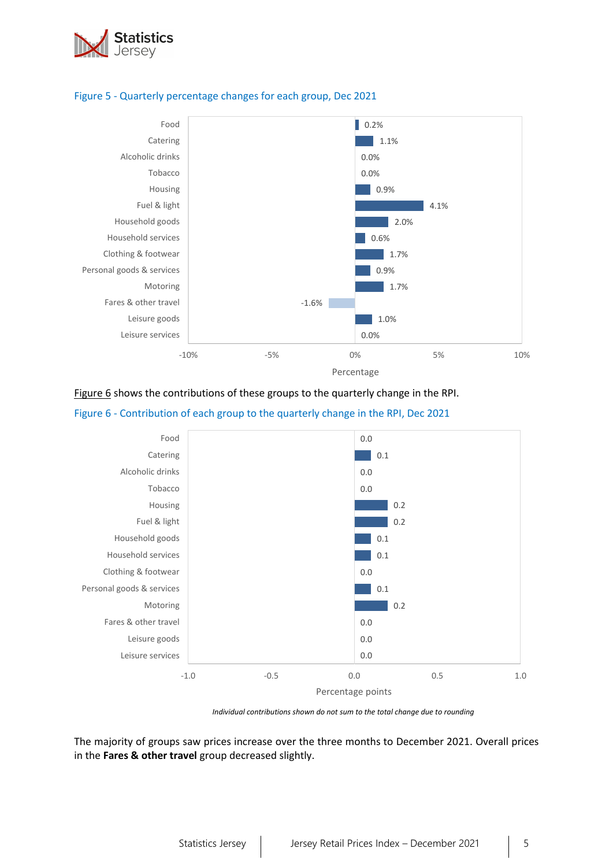

## <span id="page-4-0"></span>Figure 5 - Quarterly percentage changes for each group, Dec 2021



[Figure 6](#page-4-1) shows the contributions of these groups to the quarterly change in the RPI.

<span id="page-4-1"></span>



*Individual contributions shown do not sum to the total change due to rounding*

The majority of groups saw prices increase over the three months to December 2021. Overall prices in the **Fares & other travel** group decreased slightly.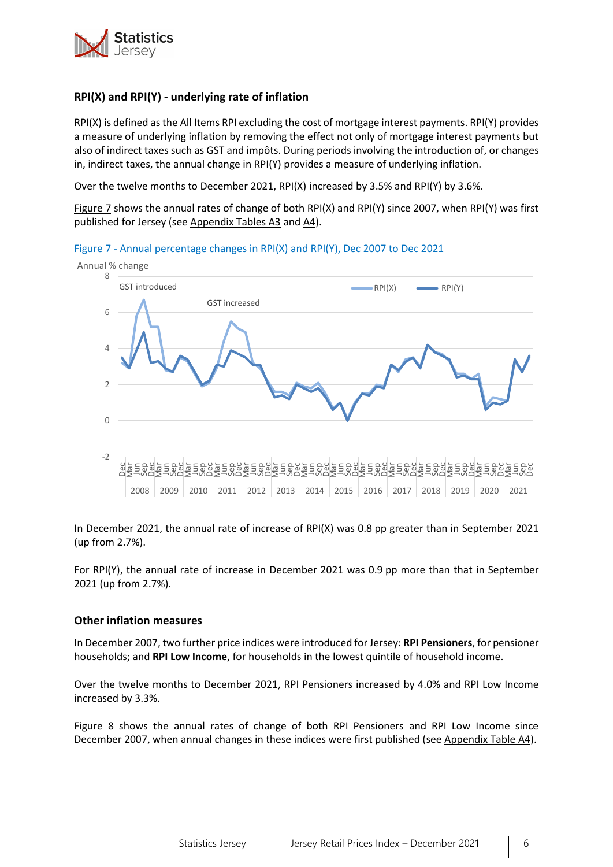

# **RPI(X) and RPI(Y) - underlying rate of inflation**

RPI(X) is defined as the All Items RPI excluding the cost of mortgage interest payments. RPI(Y) provides a measure of underlying inflation by removing the effect not only of mortgage interest payments but also of indirect taxes such as GST and impôts. During periods involving the introduction of, or changes in, indirect taxes, the annual change in RPI(Y) provides a measure of underlying inflation.

Over the twelve months to December 2021, RPI(X) increased by 3.5% and RPI(Y) by 3.6%.

[Figure 7](#page-5-0) shows the annual rates of change of both RPI(X) and RPI(Y) since 2007, when RPI(Y) was first published for Jersey (see [Appendix Tables A3](#page-9-0) an[d A4\)](#page-10-0).

<span id="page-5-0"></span>



In December 2021, the annual rate of increase of RPI(X) was 0.8 pp greater than in September 2021 (up from 2.7%).

For RPI(Y), the annual rate of increase in December 2021 was 0.9 pp more than that in September 2021 (up from 2.7%).

## **Other inflation measures**

In December 2007, two further price indices were introduced for Jersey: **RPI Pensioners**, for pensioner households; and **RPI Low Income**, for households in the lowest quintile of household income.

Over the twelve months to December 2021, RPI Pensioners increased by 4.0% and RPI Low Income increased by 3.3%.

<span id="page-5-1"></span>[Figure 8](#page-5-1) shows the annual rates of change of both RPI Pensioners and RPI Low Income since December 2007, when annual changes in these indices were first published (se[e Appendix Table A4\)](#page-10-0).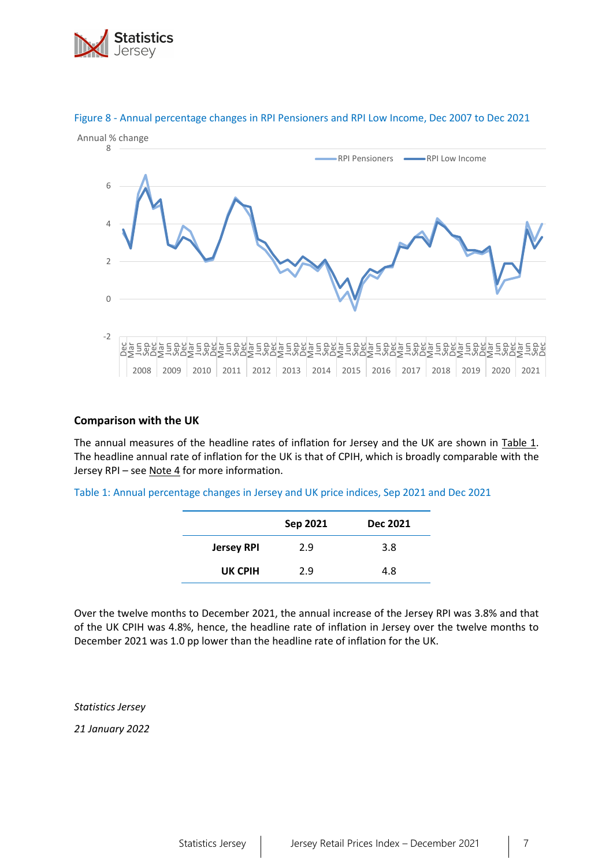



# Figure 8 - Annual percentage changes in RPI Pensioners and RPI Low Income, Dec 2007 to Dec 2021

## **Comparison with the UK**

The annual measures of the headline rates of inflation for Jersey and the UK are shown in [Table 1.](#page-6-0) The headline annual rate of inflation for the UK is that of CPIH, which is broadly comparable with the Jersey RPI – se[e Note 4](#page-7-0) for more information.

<span id="page-6-0"></span>Table 1: Annual percentage changes in Jersey and UK price indices, Sep 2021 and Dec 2021

|                   | Sep 2021 | <b>Dec 2021</b> |
|-------------------|----------|-----------------|
| <b>Jersey RPI</b> | 2.9      | 3.8             |
| UK CPIH           | 2.9      | 4.8             |

Over the twelve months to December 2021, the annual increase of the Jersey RPI was 3.8% and that of the UK CPIH was 4.8%, hence, the headline rate of inflation in Jersey over the twelve months to December 2021 was 1.0 pp lower than the headline rate of inflation for the UK.

*Statistics Jersey*

*21 January 2022*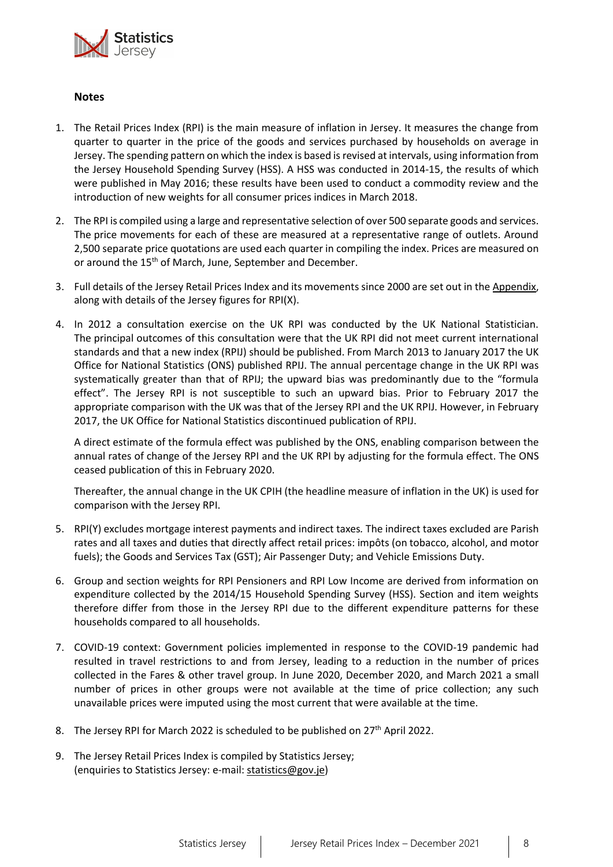

## <span id="page-7-0"></span>**Notes**

- 1. The Retail Prices Index (RPI) is the main measure of inflation in Jersey. It measures the change from quarter to quarter in the price of the goods and services purchased by households on average in Jersey. The spending pattern on which the index is based is revised at intervals, using information from the Jersey Household Spending Survey (HSS). A HSS was conducted in 2014-15, the results of which were published in May 2016; these results have been used to conduct a commodity review and the introduction of new weights for all consumer prices indices in March 2018.
- 2. The RPI is compiled using a large and representative selection of over 500 separate goods and services. The price movements for each of these are measured at a representative range of outlets. Around 2,500 separate price quotations are used each quarter in compiling the index. Prices are measured on or around the 15<sup>th</sup> of March, June, September and December.
- 3. Full details of the Jersey Retail Prices Index and its movements since 2000 are set out in th[e Appendix,](#page-8-1) along with details of the Jersey figures for RPI(X).
- 4. In 2012 a consultation exercise on the UK RPI was conducted by the UK National Statistician. The principal outcomes of this consultation were that the UK RPI did not meet current international standards and that a new index (RPIJ) should be published. From March 2013 to January 2017 the UK Office for National Statistics (ONS) published RPIJ. The annual percentage change in the UK RPI was systematically greater than that of RPIJ; the upward bias was predominantly due to the "formula effect". The Jersey RPI is not susceptible to such an upward bias. Prior to February 2017 the appropriate comparison with the UK was that of the Jersey RPI and the UK RPIJ. However, in February 2017, the UK Office for National Statistics discontinued publication of RPIJ.

A direct estimate of the formula effect was published by the ONS, enabling comparison between the annual rates of change of the Jersey RPI and the UK RPI by adjusting for the formula effect. The ONS ceased publication of this in February 2020.

Thereafter, the annual change in the UK CPIH (the headline measure of inflation in the UK) is used for comparison with the Jersey RPI.

- 5. RPI(Y) excludes mortgage interest payments and indirect taxes*.* The indirect taxes excluded are Parish rates and all taxes and duties that directly affect retail prices: impôts (on tobacco, alcohol, and motor fuels); the Goods and Services Tax (GST); Air Passenger Duty; and Vehicle Emissions Duty.
- 6. Group and section weights for RPI Pensioners and RPI Low Income are derived from information on expenditure collected by the 2014/15 Household Spending Survey (HSS). Section and item weights therefore differ from those in the Jersey RPI due to the different expenditure patterns for these households compared to all households.
- 7. COVID-19 context: Government policies implemented in response to the COVID-19 pandemic had resulted in travel restrictions to and from Jersey, leading to a reduction in the number of prices collected in the Fares & other travel group. In June 2020, December 2020, and March 2021 a small number of prices in other groups were not available at the time of price collection; any such unavailable prices were imputed using the most current that were available at the time.
- 8. The Jersey RPI for March 2022 is scheduled to be published on  $27<sup>th</sup>$  April 2022.
- 9. The Jersey Retail Prices Index is compiled by Statistics Jersey; (enquiries to Statistics Jersey: e-mail: [statistics@gov.je\)](mailto:statistics@gov.je)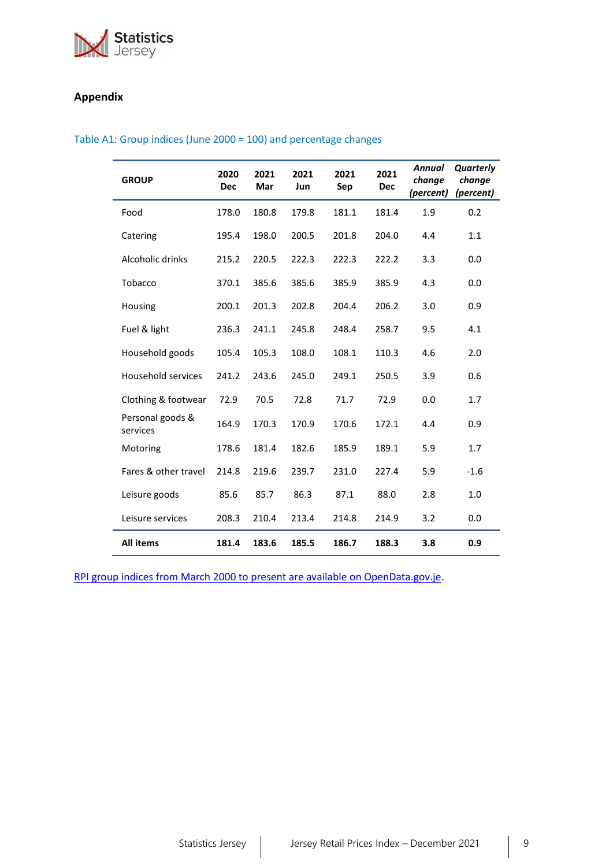

# <span id="page-8-1"></span>**Appendix**

## <span id="page-8-0"></span>Table A1: Group indices (June 2000 = 100) and percentage changes

| <b>GROUP</b>                 | 2020<br><b>Dec</b> | 2021<br>Mar | 2021<br>Jun | 2021<br>Sep | 2021<br><b>Dec</b> | <b>Annual</b><br>change<br>(percent) | Quarterly<br>change<br>(percent) |
|------------------------------|--------------------|-------------|-------------|-------------|--------------------|--------------------------------------|----------------------------------|
| Food                         | 178.0              | 180.8       | 179.8       | 181.1       | 181.4              | 1.9                                  | 0.2                              |
| Catering                     | 195.4              | 198.0       | 200.5       | 201.8       | 204.0              | 4.4                                  | 1.1                              |
| Alcoholic drinks             | 215.2              | 220.5       | 222.3       | 222.3       | 222.2              | 3.3                                  | 0.0                              |
| Tobacco                      | 370.1              | 385.6       | 385.6       | 385.9       | 385.9              | 4.3                                  | 0.0                              |
| Housing                      | 200.1              | 201.3       | 202.8       | 204.4       | 206.2              | 3.0                                  | 0.9                              |
| Fuel & light                 | 236.3              | 241.1       | 245.8       | 248.4       | 258.7              | 9.5                                  | 4.1                              |
| Household goods              | 105.4              | 105.3       | 108.0       | 108.1       | 110.3              | 4.6                                  | 2.0                              |
| Household services           | 241.2              | 243.6       | 245.0       | 249.1       | 250.5              | 3.9                                  | 0.6                              |
| Clothing & footwear          | 72.9               | 70.5        | 72.8        | 71.7        | 72.9               | 0.0                                  | 1.7                              |
| Personal goods &<br>services | 164.9              | 170.3       | 170.9       | 170.6       | 172.1              | 4.4                                  | 0.9                              |
| Motoring                     | 178.6              | 181.4       | 182.6       | 185.9       | 189.1              | 5.9                                  | 1.7                              |
| Fares & other travel         | 214.8              | 219.6       | 239.7       | 231.0       | 227.4              | 5.9                                  | $-1.6$                           |
| Leisure goods                | 85.6               | 85.7        | 86.3        | 87.1        | 88.0               | 2.8                                  | 1.0                              |
| Leisure services             | 208.3              | 210.4       | 213.4       | 214.8       | 214.9              | 3.2                                  | 0.0                              |
| <b>All items</b>             | 181.4              | 183.6       | 185.5       | 186.7       | 188.3              | 3.8                                  | 0.9                              |

[RPI group indices from March 2000 to present are available on OpenData.gov.je.](https://opendata.gov.je/dataset/rpi-rpi-x-rpi-y-rpi-pensioners-and-rpi-low-income-percentage-changes/resource/08447457-f208-4209-aea3-a77cb9713c68)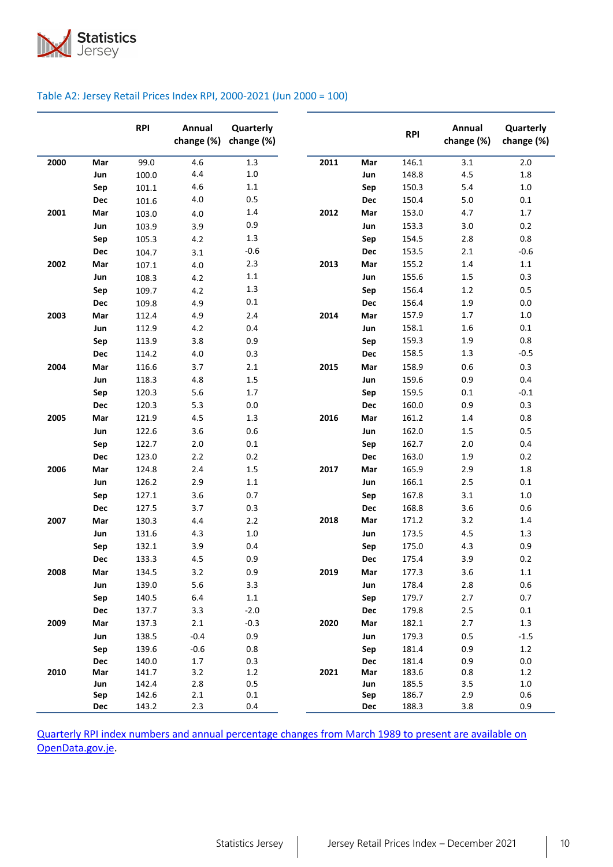

#### Table A2: Jersey Retail Prices Index RPI, 2000-2021 (Jun 2000 = 100)

|      |            | <b>RPI</b>     | Annual<br>change (%) | Quarterly<br>change (%) |      |            | <b>RPI</b>     | Annual<br>change (%) | Quarterly<br>change (%) |
|------|------------|----------------|----------------------|-------------------------|------|------------|----------------|----------------------|-------------------------|
| 2000 | Mar        | 99.0           | 4.6                  | 1.3                     | 2011 | Mar        | 146.1          | 3.1                  | 2.0                     |
|      | Jun        | 100.0          | 4.4                  | $1.0\,$                 |      | Jun        | 148.8          | 4.5                  | $1.8\,$                 |
|      | Sep        | 101.1          | 4.6                  | $1.1\,$                 |      | Sep        | 150.3          | 5.4                  | $1.0$                   |
|      | Dec        | 101.6          | 4.0                  | 0.5                     |      | Dec        | 150.4          | 5.0                  | 0.1                     |
| 2001 | Mar        | 103.0          | 4.0                  | 1.4                     | 2012 | Mar        | 153.0          | 4.7                  | 1.7                     |
|      | Jun        | 103.9          | 3.9                  | 0.9                     |      | Jun        | 153.3          | 3.0                  | 0.2                     |
|      | Sep        | 105.3          | 4.2                  | 1.3                     |      | Sep        | 154.5          | 2.8                  | 0.8                     |
|      | Dec        | 104.7          | 3.1                  | $-0.6$                  |      | Dec        | 153.5          | 2.1                  | $-0.6$                  |
| 2002 | Mar        | 107.1          | 4.0                  | 2.3                     | 2013 | Mar        | 155.2          | 1.4                  | $1.1\,$                 |
|      | Jun        | 108.3          | 4.2                  | $1.1\,$                 |      | Jun        | 155.6          | 1.5                  | 0.3                     |
|      | Sep        | 109.7          | 4.2                  | 1.3                     |      | Sep        | 156.4          | 1.2                  | 0.5                     |
|      | Dec        | 109.8          | 4.9                  | $0.1\,$                 |      | Dec        | 156.4          | 1.9                  | 0.0                     |
| 2003 | Mar        | 112.4          | 4.9                  | 2.4                     | 2014 | Mar        | 157.9          | 1.7                  | $1.0$                   |
|      | Jun        | 112.9          | 4.2                  | 0.4                     |      | Jun        | 158.1          | 1.6                  | 0.1                     |
|      | Sep        | 113.9          | 3.8                  | 0.9                     |      | Sep        | 159.3          | 1.9                  | 0.8                     |
|      | Dec        | 114.2          | $4.0$                | 0.3                     |      | Dec        | 158.5          | 1.3                  | $-0.5$                  |
| 2004 | Mar        | 116.6          | 3.7                  | 2.1                     | 2015 | Mar        | 158.9          | 0.6                  | 0.3                     |
|      | Jun        | 118.3          | 4.8                  | 1.5                     |      | Jun        | 159.6          | 0.9                  | 0.4                     |
|      | Sep        | 120.3          | 5.6                  | 1.7                     |      | Sep        | 159.5          | 0.1                  | $-0.1$                  |
|      | Dec        | 120.3          | 5.3                  | 0.0                     |      | Dec        | 160.0          | 0.9                  | 0.3                     |
| 2005 | Mar        | 121.9          | 4.5                  | 1.3                     | 2016 | Mar        | 161.2          | 1.4                  | 0.8                     |
|      | Jun        | 122.6          | 3.6                  | 0.6                     |      | Jun        | 162.0          | 1.5                  | 0.5                     |
|      | Sep        | 122.7          | 2.0                  | 0.1                     |      | Sep        | 162.7          | 2.0                  | 0.4                     |
|      | Dec        | 123.0          | 2.2                  | 0.2                     |      | <b>Dec</b> | 163.0          | 1.9                  | 0.2                     |
| 2006 | Mar        | 124.8          | 2.4                  | 1.5                     | 2017 | Mar        | 165.9          | 2.9                  | 1.8                     |
|      | Jun        | 126.2          | 2.9                  | 1.1                     |      | Jun        | 166.1          | 2.5                  | 0.1                     |
|      | Sep        | 127.1          | 3.6                  | 0.7                     |      | Sep        | 167.8          | 3.1                  | $1.0$                   |
|      | Dec        | 127.5          | 3.7                  | 0.3                     |      | Dec        | 168.8          | 3.6                  | 0.6                     |
| 2007 | Mar        | 130.3          | 4.4                  | 2.2                     | 2018 | Mar        | 171.2          | 3.2                  | 1.4                     |
|      | Jun        | 131.6          | 4.3                  | $1.0\,$                 |      | Jun        | 173.5          | 4.5                  | 1.3                     |
|      | Sep        | 132.1          | 3.9                  | 0.4                     |      | Sep        | 175.0          | 4.3                  | 0.9                     |
|      | Dec        | 133.3          | 4.5                  | 0.9                     |      | Dec        | 175.4          | 3.9                  | 0.2                     |
| 2008 | Mar        | 134.5          | 3.2                  | 0.9                     | 2019 | Mar        | 177.3          | 3.6                  | $1.1\,$                 |
|      | Jun        | 139.0          | 5.6                  | 3.3                     |      | Jun        | 178.4          | 2.8                  | 0.6                     |
|      | Sep        | 140.5          | 6.4                  | $1.1\,$                 |      | Sep        | 179.7          | 2.7                  | 0.7                     |
|      | Dec        | 137.7          | 3.3                  | $-2.0$                  |      | Dec        | 179.8          | $2.5$                | 0.1                     |
| 2009 | Mar        | 137.3          | 2.1                  | $-0.3$                  | 2020 | Mar        | 182.1          | 2.7                  | 1.3                     |
|      | Jun        | 138.5          | $-0.4$               | 0.9                     |      | Jun        | 179.3          | 0.5                  | $-1.5$                  |
|      | Sep        | 139.6          | $-0.6$               | 0.8                     |      | Sep        | 181.4          | 0.9                  | 1.2                     |
|      | Dec        | 140.0          | 1.7                  | 0.3                     |      | Dec        | 181.4          | 0.9                  | 0.0                     |
| 2010 | Mar        | 141.7          | 3.2                  | 1.2                     | 2021 | Mar        | 183.6          | 0.8                  | 1.2                     |
|      | Jun<br>Sep | 142.4<br>142.6 | 2.8<br>2.1           | 0.5<br>$0.1\,$          |      | Jun<br>Sep | 185.5<br>186.7 | 3.5<br>2.9           | $1.0\,$<br>0.6          |
|      | Dec        | 143.2          | 2.3                  | 0.4                     |      | Dec        | 188.3          | 3.8                  | 0.9                     |

<span id="page-9-0"></span>Quarterly RPI index numbers [and annual percentage changes from March 1989 to present are available on](https://opendata.gov.je/dataset/rpi-rpi-x-rpi-y-rpi-pensioners-and-rpi-low-income-percentage-changes/resource/0501a918-9e04-4e82-b2f5-87568109660b)  [OpenData.gov.je.](https://opendata.gov.je/dataset/rpi-rpi-x-rpi-y-rpi-pensioners-and-rpi-low-income-percentage-changes/resource/0501a918-9e04-4e82-b2f5-87568109660b)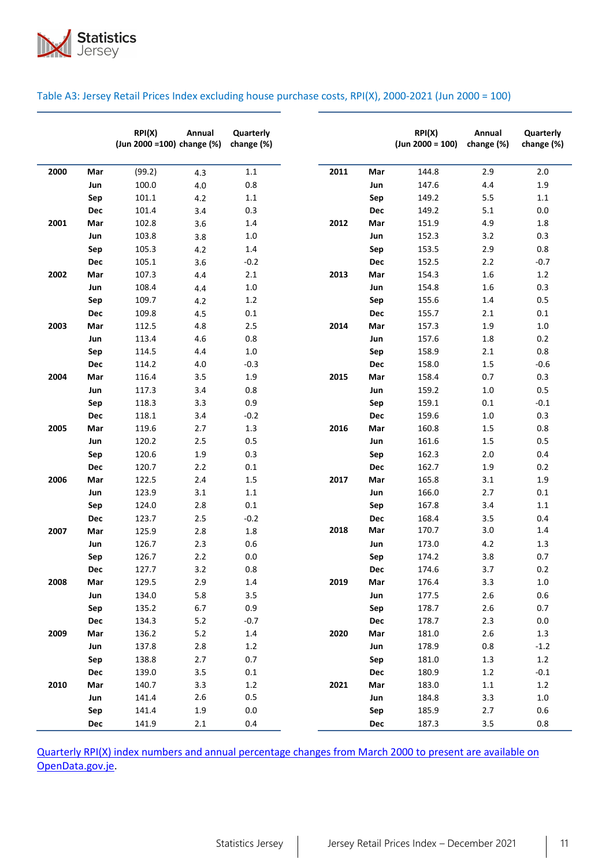

|      |            | RP(X)<br>(Jun 2000 = 100) change (%) | Annual  | Quarterly<br>change (%) |      |            | RPI(X)<br>$(Jun 2000 = 100)$ | Annual<br>change (%) | Quarterly<br>change (%) |
|------|------------|--------------------------------------|---------|-------------------------|------|------------|------------------------------|----------------------|-------------------------|
| 2000 | Mar        | (99.2)                               | 4.3     | 1.1                     | 2011 | Mar        | 144.8                        | 2.9                  | 2.0                     |
|      | Jun        | 100.0                                | $4.0\,$ | 0.8                     |      | Jun        | 147.6                        | 4.4                  | 1.9                     |
|      | Sep        | 101.1                                | 4.2     | 1.1                     |      | Sep        | 149.2                        | 5.5                  | $1.1\,$                 |
|      | Dec        | 101.4                                | 3.4     | 0.3                     |      | Dec        | 149.2                        | 5.1                  | 0.0                     |
| 2001 | Mar        | 102.8                                | 3.6     | 1.4                     | 2012 | Mar        | 151.9                        | 4.9                  | 1.8                     |
|      | Jun        | 103.8                                | 3.8     | 1.0                     |      | Jun        | 152.3                        | 3.2                  | 0.3                     |
|      | Sep        | 105.3                                | 4.2     | 1.4                     |      | Sep        | 153.5                        | 2.9                  | 0.8                     |
|      | Dec        | 105.1                                | 3.6     | $-0.2$                  |      | <b>Dec</b> | 152.5                        | 2.2                  | $-0.7$                  |
| 2002 | Mar        | 107.3                                | 4.4     | 2.1                     | 2013 | Mar        | 154.3                        | 1.6                  | 1.2                     |
|      | Jun        | 108.4                                | 4.4     | $1.0\,$                 |      | Jun        | 154.8                        | 1.6                  | 0.3                     |
|      | Sep        | 109.7                                | 4.2     | 1.2                     |      | Sep        | 155.6                        | 1.4                  | 0.5                     |
|      | <b>Dec</b> | 109.8                                | 4.5     | 0.1                     |      | Dec        | 155.7                        | 2.1                  | 0.1                     |
| 2003 | Mar        | 112.5                                | 4.8     | 2.5                     | 2014 | Mar        | 157.3                        | 1.9                  | 1.0                     |
|      | Jun        | 113.4                                | 4.6     | 0.8                     |      | Jun        | 157.6                        | 1.8                  | 0.2                     |
|      | Sep        | 114.5                                | 4.4     | $1.0\,$                 |      | Sep        | 158.9                        | 2.1                  | 0.8                     |
|      | Dec        | 114.2                                | 4.0     | $-0.3$                  |      | <b>Dec</b> | 158.0                        | 1.5                  | $-0.6$                  |
| 2004 | Mar        | 116.4                                | 3.5     | 1.9                     | 2015 | Mar        | 158.4                        | 0.7                  | 0.3                     |
|      | Jun        | 117.3                                | 3.4     | 0.8                     |      | Jun        | 159.2                        | $1.0\,$              | 0.5                     |
|      | Sep        | 118.3                                | 3.3     | 0.9                     |      | Sep        | 159.1                        | 0.1                  | $-0.1$                  |
|      | <b>Dec</b> | 118.1                                | 3.4     | $-0.2$                  |      | <b>Dec</b> | 159.6                        | 1.0                  | 0.3                     |
| 2005 | Mar        | 119.6                                | 2.7     | 1.3                     | 2016 | Mar        | 160.8                        | 1.5                  | 0.8                     |
|      | Jun        | 120.2                                | 2.5     | 0.5                     |      | Jun        | 161.6                        | 1.5                  | 0.5                     |
|      | Sep        | 120.6                                | 1.9     | 0.3                     |      | Sep        | 162.3                        | 2.0                  | 0.4                     |
|      | <b>Dec</b> | 120.7                                | 2.2     | 0.1                     |      | Dec        | 162.7                        | 1.9                  | 0.2                     |
| 2006 | Mar        | 122.5                                | 2.4     | 1.5                     | 2017 | Mar        | 165.8                        | 3.1                  | 1.9                     |
|      | Jun        | 123.9                                | 3.1     | $1.1\,$                 |      | Jun        | 166.0                        | 2.7                  | 0.1                     |
|      | Sep        | 124.0                                | 2.8     | 0.1                     |      | Sep        | 167.8                        | 3.4                  | $1.1\,$                 |
|      | Dec        | 123.7                                | 2.5     | $-0.2$                  |      | Dec        | 168.4                        | 3.5                  | 0.4                     |
| 2007 | Mar        | 125.9                                | 2.8     | 1.8                     | 2018 | Mar        | 170.7                        | 3.0                  | 1.4                     |
|      | Jun        | 126.7                                | 2.3     | 0.6                     |      | Jun        | 173.0                        | 4.2                  | 1.3                     |
|      | Sep        | 126.7                                | 2.2     | $0.0\,$                 |      | Sep        | 174.2                        | 3.8                  | 0.7                     |
|      | Dec        | 127.7                                | 3.2     | 0.8                     |      | <b>Dec</b> | 174.6                        | 3.7                  | 0.2                     |
| 2008 | Mar        | 129.5                                | 2.9     | $1.4\,$                 | 2019 | Mar        | 176.4                        | 3.3                  | $1.0\,$                 |
|      | Jun        | 134.0                                | 5.8     | 3.5                     |      | Jun        | 177.5                        | $2.6$                | 0.6                     |
|      | Sep        | 135.2                                | $6.7$   | 0.9                     |      | Sep        | 178.7                        | $2.6\,$              | 0.7                     |
|      | Dec        | 134.3                                | $5.2$   | $-0.7$                  |      | Dec        | 178.7                        | 2.3                  | $0.0\,$                 |
| 2009 | Mar        | 136.2                                | $5.2$   | $1.4\,$                 | 2020 | Mar        | 181.0                        | $2.6\,$              | 1.3                     |
|      | Jun        | 137.8                                | $2.8\,$ | 1.2                     |      | Jun        | 178.9                        | 0.8                  | $-1.2$                  |
|      | Sep        | 138.8                                | 2.7     | 0.7                     |      | Sep        | 181.0                        | $1.3\,$              | 1.2                     |
|      | Dec        | 139.0                                | 3.5     | $0.1\,$                 |      | Dec        | 180.9                        | $1.2\,$              | $-0.1$                  |
| 2010 | Mar        | 140.7                                | 3.3     | $1.2\,$                 | 2021 | Mar        | 183.0                        | $1.1\,$              | 1.2                     |
|      | Jun        | 141.4                                | $2.6\,$ | 0.5                     |      | Jun        | 184.8                        | 3.3                  | $1.0\,$                 |
|      | Sep        | 141.4                                | $1.9\,$ | $0.0\,$                 |      | Sep        | 185.9                        | 2.7                  | 0.6                     |
|      | Dec        | 141.9                                | 2.1     | 0.4                     |      | Dec        | 187.3                        | 3.5                  | 0.8                     |

## Table A3: Jersey Retail Prices Index excluding house purchase costs, RPI(X), 2000-2021 (Jun 2000 = 100)

<span id="page-10-0"></span>Quarterly RPI(X) index numbers [and annual percentage changes from March 2000 to present are available on](https://opendata.gov.je/dataset/rpi-rpi-x-rpi-y-rpi-pensioners-and-rpi-low-income-percentage-changes/resource/0501a918-9e04-4e82-b2f5-87568109660b)  [OpenData.gov.je.](https://opendata.gov.je/dataset/rpi-rpi-x-rpi-y-rpi-pensioners-and-rpi-low-income-percentage-changes/resource/0501a918-9e04-4e82-b2f5-87568109660b)